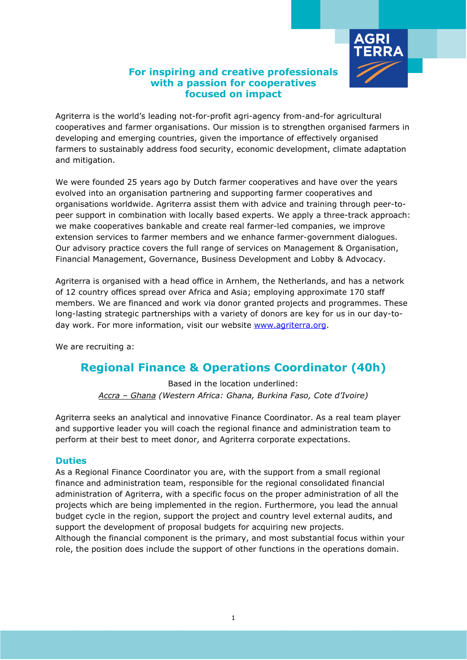

## **For inspiring and creative professionals with a passion for cooperatives focused on impact**

Agriterra is the world's leading not-for-profit agri-agency from-and-for agricultural cooperatives and farmer organisations. Our mission is to strengthen organised farmers in developing and emerging countries, given the importance of effectively organised farmers to sustainably address food security, economic development, climate adaptation and mitigation.

We were founded 25 years ago by Dutch farmer cooperatives and have over the years evolved into an organisation partnering and supporting farmer cooperatives and organisations worldwide. Agriterra assist them with advice and training through peer-topeer support in combination with locally based experts. We apply a three-track approach: we make cooperatives bankable and create real farmer-led companies, we improve extension services to farmer members and we enhance farmer-government dialogues. Our advisory practice covers the full range of services on Management & Organisation, Financial Management, Governance, Business Development and Lobby & Advocacy.

Agriterra is organised with a head office in Arnhem, the Netherlands, and has a network of 12 country offices spread over Africa and Asia; employing approximate 170 staff members. We are financed and work via donor granted projects and programmes. These long-lasting strategic partnerships with a variety of donors are key for us in our day-today work. For more information, visit our website [www.agriterra.org.](http://www.agriterra.org/)

We are recruiting a:

# **Regional Finance & Operations Coordinator (40h)**

Based in the location underlined: *Accra – Ghana (Western Africa: Ghana, Burkina Faso, Cote d'Ivoire)*

Agriterra seeks an analytical and innovative Finance Coordinator. As a real team player and supportive leader you will coach the regional finance and administration team to perform at their best to meet donor, and Agriterra corporate expectations.

### **Duties**

As a Regional Finance Coordinator you are, with the support from a small regional finance and administration team, responsible for the regional consolidated financial administration of Agriterra, with a specific focus on the proper administration of all the projects which are being implemented in the region. Furthermore, you lead the annual budget cycle in the region, support the project and country level external audits, and support the development of proposal budgets for acquiring new projects. Although the financial component is the primary, and most substantial focus within your role, the position does include the support of other functions in the operations domain.